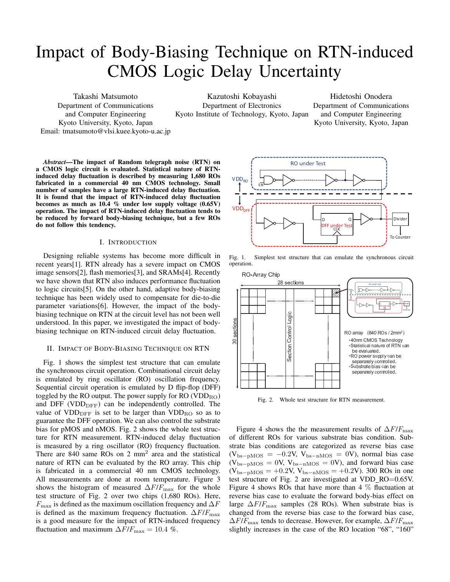# Impact of Body-Biasing Technique on RTN-induced CMOS Logic Delay Uncertainty

Takashi Matsumoto Department of Communications and Computer Engineering Kyoto University, Kyoto, Japan Email: tmatsumoto@vlsi.kuee.kyoto-u.ac.jp

Kazutoshi Kobayashi Department of Electronics Kyoto Institute of Technology, Kyoto, Japan

Hidetoshi Onodera Department of Communications and Computer Engineering Kyoto University, Kyoto, Japan

*Abstract*—The impact of Random telegraph noise (RTN) on a CMOS logic circuit is evaluated. Statistical nature of RTNinduced delay fluctuation is described by measuring 1,680 ROs fabricated in a commercial 40 nm CMOS technology. Small number of samples have a large RTN-induced delay fluctuation. It is found that the impact of RTN-induced delay fluctuation becomes as much as  $10.4\%$  under low supply voltage  $(0.65V)$ operation. The impact of RTN-induced delay fluctuation tends to be reduced by forward body-biasing technique, but a few ROs do not follow this tendency.

### I. INTRODUCTION

Designing reliable systems has become more difficult in recent years[1]. RTN already has a severe impact on CMOS image sensors[2], flash memories[3], and SRAMs[4]. Recently we have shown that RTN also induces performance fluctuation to logic circuits[5]. On the other hand, adaptive body-biasing technique has been widely used to compensate for die-to-die parameter variations[6]. However, the impact of the bodybiasing technique on RTN at the circuit level has not been well understood. In this paper, we investigated the impact of bodybiasing technique on RTN-induced circuit delay fluctuation.

#### II. IMPACT OF BODY-BIASING TECHNIQUE ON RTN

Fig. 1 shows the simplest test structure that can emulate the synchronous circuit operation. Combinational circuit delay is emulated by ring oscillator (RO) oscillation frequency. Sequential circuit operation is emulated by D flip-flop (DFF) toggled by the RO output. The power supply for  $RO (VDD<sub>RO</sub>)$ and DFF (VDD<sub>DFF</sub>) can be independently controlled. The value of  $VDD_{\text{DFF}}$  is set to be larger than  $VDD_{\text{RO}}$  so as to guarantee the DFF operation. We can also control the substrate bias for pMOS and nMOS. Fig. 2 shows the whole test structure for RTN measurement. RTN-induced delay fluctuation is measured by a ring oscillator (RO) frequency fluctuation. There are  $840$  same ROs on 2 mm<sup>2</sup> area and the statistical nature of RTN can be evaluated by the RO array. This chip is fabricated in a commercial 40 nm CMOS technology. All measurements are done at room temperature. Figure 3 shows the histogram of measured  $\Delta F/F_{\text{max}}$  for the whole test structure of Fig. 2 over two chips (1,680 ROs). Here,  $F_{\text{max}}$  is defined as the maximum oscillation frequency and  $\Delta F$ is defined as the maximum frequency fluctuation.  $\Delta F/F_{\text{max}}$ is a good measure for the impact of RTN-induced frequency fluctuation and maximum  $\Delta F/F_{\text{max}} = 10.4$  %.



Fig. 1. Simplest test structure that can emulate the synchronous circuit operation.



Fig. 2. Whole test structure for RTN measurement.

Figure 4 shows the the measurement results of ∆*F*/*F*max of different ROs for various substrate bias condition. Substrate bias conditions are categorized as reverse bias case (Vbs*−*pMOS = *−*0*.*2V, Vbs*−*nMOS = 0V), normal bias case (Vbs*−*pMOS = 0V, Vbs*−*nMOS = 0V), and forward bias case (Vbs*−*pMOS = +0*.*2V, Vbs*−*nMOS = +0*.*2V). 300 ROs in one test structure of Fig. 2 are investigated at VDD\_RO=0.65V. Figure 4 shows ROs that have more than  $4\%$  fluctuation at reverse bias case to evaluate the forward body-bias effect on large  $\Delta F/F_{\text{max}}$  samples (28 ROs). When substrate bias is changed from the reverse bias case to the forward bias case,  $\Delta$ *F*/*F*<sub>max</sub> tends to decrease. However, for example,  $\Delta$ *F*/*F*<sub>max</sub> slightly increases in the case of the RO location "68", "160"